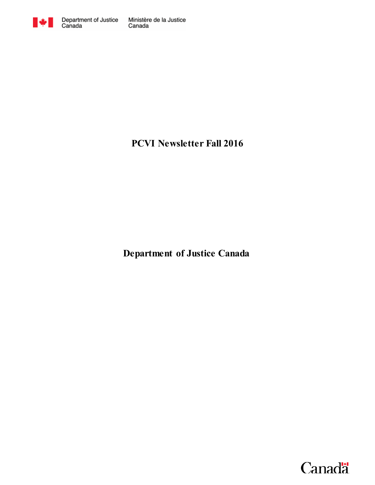

# **PCVI Newsletter Fall 2016**

**Department of Justice Canada**

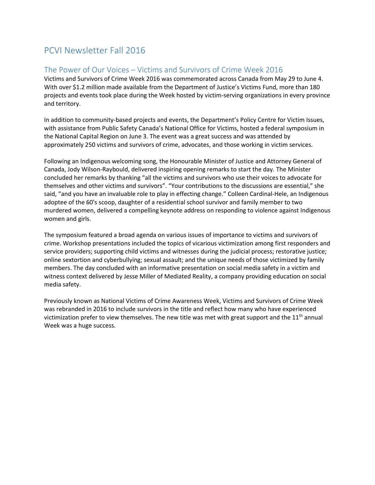## PCVI Newsletter Fall 2016

#### The Power of Our Voices – Victims and Survivors of Crime Week 2016

Victims and Survivors of Crime Week 2016 was commemorated across Canada from May 29 to June 4. With over \$1.2 million made available from the Department of Justice's Victims Fund, more than 180 projects and events took place during the Week hosted by victim-serving organizations in every province and territory.

In addition to community-based projects and events, the Department's Policy Centre for Victim Issues, with assistance from Public Safety Canada's National Office for Victims, hosted a federal symposium in the National Capital Region on June 3. The event was a great success and was attended by approximately 250 victims and survivors of crime, advocates, and those working in victim services.

Following an Indigenous welcoming song, the Honourable Minister of Justice and Attorney General of Canada, Jody Wilson-Raybould, delivered inspiring opening remarks to start the day. The Minister concluded her remarks by thanking "all the victims and survivors who use their voices to advocate for themselves and other victims and survivors". "Your contributions to the discussions are essential," she said, "and you have an invaluable role to play in effecting change." Colleen Cardinal-Hele, an Indigenous adoptee of the 60's scoop, daughter of a residential school survivor and family member to two murdered women, delivered a compelling keynote address on responding to violence against Indigenous women and girls.

The symposium featured a broad agenda on various issues of importance to victims and survivors of crime. Workshop presentations included the topics of vicarious victimization among first responders and service providers; supporting child victims and witnesses during the judicial process; restorative justice; online sextortion and cyberbullying; sexual assault; and the unique needs of those victimized by family members. The day concluded with an informative presentation on social media safety in a victim and witness context delivered by Jesse Miller of Mediated Reality, a company providing education on social media safety.

Previously known as National Victims of Crime Awareness Week, Victims and Survivors of Crime Week was rebranded in 2016 to include survivors in the title and reflect how many who have experienced victimization prefer to view themselves. The new title was met with great support and the  $11<sup>th</sup>$  annual Week was a huge success.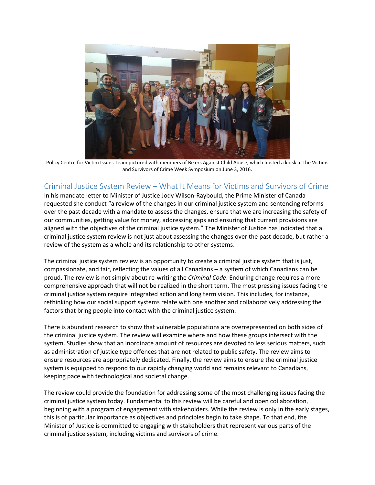

Policy Centre for Victim Issues Team pictured with members of Bikers Against Child Abuse, which hosted a kiosk at the Victims and Survivors of Crime Week Symposium on June 3, 2016.

### Criminal Justice System Review – What It Means for Victims and Survivors of Crime

In his mandate letter to Minister of Justice Jody Wilson-Raybould, the Prime Minister of Canada requested she conduct "a review of the changes in our criminal justice system and sentencing reforms over the past decade with a mandate to assess the changes, ensure that we are increasing the safety of our communities, getting value for money, addressing gaps and ensuring that current provisions are aligned with the objectives of the criminal justice system." The Minister of Justice has indicated that a criminal justice system review is not just about assessing the changes over the past decade, but rather a review of the system as a whole and its relationship to other systems.

The criminal justice system review is an opportunity to create a criminal justice system that is just, compassionate, and fair, reflecting the values of all Canadians – a system of which Canadians can be proud. The review is not simply about re-writing the *Criminal Code*. Enduring change requires a more comprehensive approach that will not be realized in the short term. The most pressing issues facing the criminal justice system require integrated action and long term vision. This includes, for instance, rethinking how our social support systems relate with one another and collaboratively addressing the factors that bring people into contact with the criminal justice system.

There is abundant research to show that vulnerable populations are overrepresented on both sides of the criminal justice system. The review will examine where and how these groups intersect with the system. Studies show that an inordinate amount of resources are devoted to less serious matters, such as administration of justice type offences that are not related to public safety. The review aims to ensure resources are appropriately dedicated. Finally, the review aims to ensure the criminal justice system is equipped to respond to our rapidly changing world and remains relevant to Canadians, keeping pace with technological and societal change.

The review could provide the foundation for addressing some of the most challenging issues facing the criminal justice system today. Fundamental to this review will be careful and open collaboration, beginning with a program of engagement with stakeholders. While the review is only in the early stages, this is of particular importance as objectives and principles begin to take shape. To that end, the Minister of Justice is committed to engaging with stakeholders that represent various parts of the criminal justice system, including victims and survivors of crime.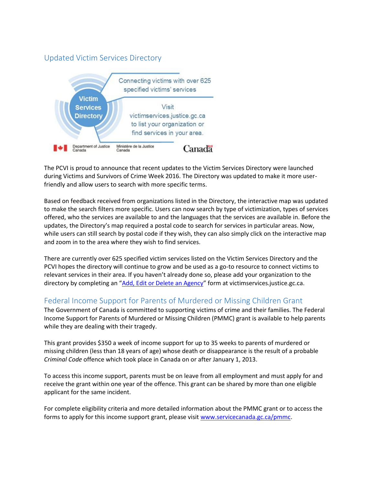#### Updated Victim Services Directory



The PCVI is proud to announce that recent updates to the Victim Services Directory were launched during Victims and Survivors of Crime Week 2016. The Directory was updated to make it more userfriendly and allow users to search with more specific terms.

Based on feedback received from organizations listed in the Directory, the interactive map was updated to make the search filters more specific. Users can now search by type of victimization, types of services offered, who the services are available to and the languages that the services are available in. Before the updates, the Directory's map required a postal code to search for services in particular areas. Now, while users can still search by postal code if they wish, they can also simply click on the interactive map and zoom in to the area where they wish to find services.

There are currently over 625 specified victim services listed on the Victim Services Directory and the PCVI hopes the directory will continue to grow and be used as a go-to resource to connect victims to relevant services in their area. If you haven't already done so, please add your organization to the directory by completing an "Add, Edit or [Delete an Agency](http://www.justice.gc.ca/eng/cj-jp/victims-victimes/vsd-rsv/edit-modif.html)" form at victimservices.justice.gc.ca.

#### Federal Income Support for Parents of Murdered or Missing Children Grant

The Government of Canada is committed to supporting victims of crime and their families. The Federal Income Support for Parents of Murdered or Missing Children (PMMC) grant is available to help parents while they are dealing with their tragedy.

This grant provides \$350 a week of income support for up to 35 weeks to parents of murdered or missing children (less than 18 years of age) whose death or disappearance is the result of a probable *Criminal Code* offence which took place in Canada on or after January 1, 2013.

To access this income support, parents must be on leave from all employment and must apply for and receive the grant within one year of the offence. This grant can be shared by more than one eligible applicant for the same incident.

For complete eligibility criteria and more detailed information about the PMMC grant or to access the forms to apply for this income support grant, please visit [www.servicecanada.gc.ca/pmmc.](http://www.servicecanada.gc.ca/pmmc)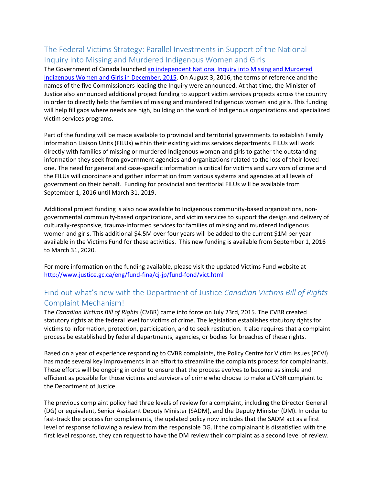## The Federal Victims Strategy: Parallel Investments in Support of the National Inquiry into Missing and Murdered Indigenous Women and Girls

The Government of Canada launched [an independent National Inquiry into Missing and Murdered](http://www.aadnc-aandc.gc.ca/eng/1448633299414/1448633350146)  [Indigenous Women and Girls in December, 2015.](http://www.aadnc-aandc.gc.ca/eng/1448633299414/1448633350146) On August 3, 2016, the terms of reference and the names of the five Commissioners leading the Inquiry were announced. At that time, the Minister of Justice also announced additional project funding to support victim services projects across the country in order to directly help the families of missing and murdered Indigenous women and girls. This funding will help fill gaps where needs are high, building on the work of Indigenous organizations and specialized victim services programs.

Part of the funding will be made available to provincial and territorial governments to establish Family Information Liaison Units (FILUs) within their existing victims services departments. FILUs will work directly with families of missing or murdered Indigenous women and girls to gather the outstanding information they seek from government agencies and organizations related to the loss of their loved one. The need for general and case-specific information is critical for victims and survivors of crime and the FILUs will coordinate and gather information from various systems and agencies at all levels of government on their behalf. Funding for provincial and territorial FILUs will be available from September 1, 2016 until March 31, 2019.

Additional project funding is also now available to Indigenous community-based organizations, nongovernmental community-based organizations, and victim services to support the design and delivery of culturally-responsive, trauma-informed services for families of missing and murdered Indigenous women and girls. This additional \$4.5M over four years will be added to the current \$1M per year available in the Victims Fund for these activities. This new funding is available from September 1, 2016 to March 31, 2020.

For more information on the funding available, please visit the updated Victims Fund website at <http://www.justice.gc.ca/eng/fund-fina/cj-jp/fund-fond/vict.html>

## Find out what's new with the Department of Justice *Canadian Victims Bill of Rights* Complaint Mechanism!

The *Canadian Victims Bill of Rights* (CVBR) came into force on July 23rd, 2015. The CVBR created statutory rights at the federal level for victims of crime. The legislation establishes statutory rights for victims to information, protection, participation, and to seek restitution. It also requires that a complaint process be established by federal departments, agencies, or bodies for breaches of these rights.

Based on a year of experience responding to CVBR complaints, the Policy Centre for Victim Issues (PCVI) has made several key improvements in an effort to streamline the complaints process for complainants. These efforts will be ongoing in order to ensure that the process evolves to become as simple and efficient as possible for those victims and survivors of crime who choose to make a CVBR complaint to the Department of Justice.

The previous complaint policy had three levels of review for a complaint, including the Director General (DG) or equivalent, Senior Assistant Deputy Minister (SADM), and the Deputy Minister (DM). In order to fast-track the process for complainants, the updated policy now includes that the SADM act as a first level of response following a review from the responsible DG. If the complainant is dissatisfied with the first level response, they can request to have the DM review their complaint as a second level of review.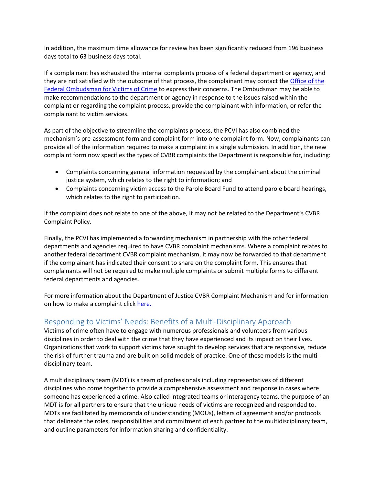In addition, the maximum time allowance for review has been significantly reduced from 196 business days total to 63 business days total.

If a complainant has exhausted the internal complaints process of a federal department or agency, and they are not satisfied with the outcome of that process, the complainant may contact the [Office of the](http://www.victimsfirst.gc.ca/)  [Federal Ombudsman for Victims of Crime](http://www.victimsfirst.gc.ca/) to express their concerns. The Ombudsman may be able to make recommendations to the department or agency in response to the issues raised within the complaint or regarding the complaint process, provide the complainant with information, or refer the complainant to victim services.

As part of the objective to streamline the complaints process, the PCVI has also combined the mechanism's pre-assessment form and complaint form into one complaint form. Now, complainants can provide all of the information required to make a complaint in a single submission. In addition, the new complaint form now specifies the types of CVBR complaints the Department is responsible for, including:

- Complaints concerning general information requested by the complainant about the criminal justice system, which relates to the right to information; and
- Complaints concerning victim access to the Parole Board Fund to attend parole board hearings, which relates to the right to participation.

If the complaint does not relate to one of the above, it may not be related to the Department's CVBR Complaint Policy.

Finally, the PCVI has implemented a forwarding mechanism in partnership with the other federal departments and agencies required to have CVBR complaint mechanisms. Where a complaint relates to another federal department CVBR complaint mechanism, it may now be forwarded to that department if the complainant has indicated their consent to share on the complaint form. This ensures that complainants will not be required to make multiple complaints or submit multiple forms to different federal departments and agencies.

For more information about the Department of Justice CVBR Complaint Mechanism and for information on how to make a complaint click [here.](http://www.justice.gc.ca/eng/contact/complaint-plainte.html)

#### Responding to Victims' Needs: Benefits of a Multi-Disciplinary Approach

Victims of crime often have to engage with numerous professionals and volunteers from various disciplines in order to deal with the crime that they have experienced and its impact on their lives. Organizations that work to support victims have sought to develop services that are responsive, reduce the risk of further trauma and are built on solid models of practice. One of these models is the multidisciplinary team.

A multidisciplinary team (MDT) is a team of professionals including representatives of different disciplines who come together to provide a comprehensive assessment and response in cases where someone has experienced a crime. Also called integrated teams or interagency teams, the purpose of an MDT is for all partners to ensure that the unique needs of victims are recognized and responded to. MDTs are facilitated by memoranda of understanding (MOUs), letters of agreement and/or protocols that delineate the roles, responsibilities and commitment of each partner to the multidisciplinary team, and outline parameters for information sharing and confidentiality.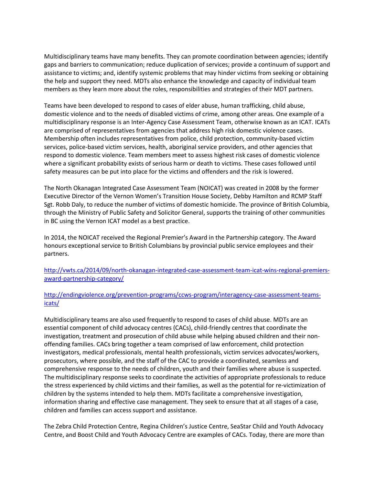Multidisciplinary teams have many benefits. They can promote coordination between agencies; identify gaps and barriers to communication; reduce duplication of services; provide a continuum of support and assistance to victims; and, identify systemic problems that may hinder victims from seeking or obtaining the help and support they need. MDTs also enhance the knowledge and capacity of individual team members as they learn more about the roles, responsibilities and strategies of their MDT partners.

Teams have been developed to respond to cases of elder abuse, human trafficking, child abuse, domestic violence and to the needs of disabled victims of crime, among other areas. One example of a multidisciplinary response is an Inter-Agency Case Assessment Team, otherwise known as an ICAT. ICATs are comprised of representatives from agencies that address high risk domestic violence cases. Membership often includes representatives from police, child protection, community-based victim services, police-based victim services, health, aboriginal service providers, and other agencies that respond to domestic violence. Team members meet to assess highest risk cases of domestic violence where a significant probability exists of serious harm or death to victims. These cases followed until safety measures can be put into place for the victims and offenders and the risk is lowered.

The North Okanagan Integrated Case Assessment Team (NOICAT) was created in 2008 by the former Executive Director of the Vernon Women's Transition House Society, Debby Hamilton and RCMP Staff Sgt. Robb Daly, to reduce the number of victims of domestic homicide. The province of British Columbia, through the Ministry of Public Safety and Solicitor General, supports the training of other communities in BC using the Vernon ICAT model as a best practice.

In 2014, the NOICAT received the Regional Premier's Award in the Partnership category. The Award honours exceptional service to British Columbians by provincial public service employees and their partners.

[http://vwts.ca/2014/09/north-okanagan-integrated-case-assessment-team-icat-wins-regional-premiers](http://vwts.ca/2014/09/north-okanagan-integrated-case-assessment-team-icat-wins-regional-premiers-award-partnership-category/)[award-partnership-category/](http://vwts.ca/2014/09/north-okanagan-integrated-case-assessment-team-icat-wins-regional-premiers-award-partnership-category/)

[http://endingviolence.org/prevention-programs/ccws-program/interagency-case-assessment-teams](http://endingviolence.org/prevention-programs/ccws-program/interagency-case-assessment-teams-icats/)[icats/](http://endingviolence.org/prevention-programs/ccws-program/interagency-case-assessment-teams-icats/)

Multidisciplinary teams are also used frequently to respond to cases of child abuse. MDTs are an essential component of child advocacy centres (CACs), child-friendly centres that coordinate the investigation, treatment and prosecution of child abuse while helping abused children and their nonoffending families. CACs bring together a team comprised of law enforcement, child protection investigators, medical professionals, mental health professionals, victim services advocates/workers, prosecutors, where possible, and the staff of the CAC to provide a coordinated, seamless and comprehensive response to the needs of children, youth and their families where abuse is suspected. The multidisciplinary response seeks to coordinate the activities of appropriate professionals to reduce the stress experienced by child victims and their families, as well as the potential for re-victimization of children by the systems intended to help them. MDTs facilitate a comprehensive investigation, information sharing and effective case management. They seek to ensure that at all stages of a case, children and families can access support and assistance.

The Zebra Child Protection Centre, Regina Children's Justice Centre, SeaStar Child and Youth Advocacy Centre, and Boost Child and Youth Advocacy Centre are examples of CACs. Today, there are more than